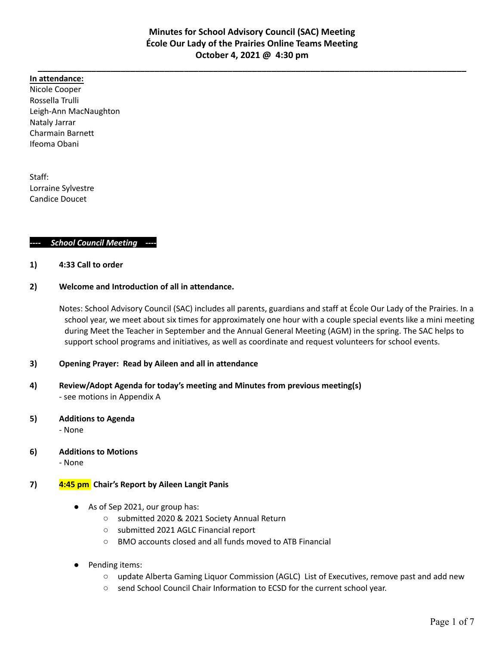#### **In attendance:**

Nicole Cooper Rossella Trulli Leigh-Ann MacNaughton Nataly Jarrar Charmain Barnett Ifeoma Obani

Staff: Lorraine Sylvestre Candice Doucet

#### *---- School Council Meeting ----*

#### **1) 4:33 Call to order**

#### **2) Welcome and Introduction of all in attendance.**

Notes: School Advisory Council (SAC) includes all parents, guardians and staff at École Our Lady of the Prairies. In a school year, we meet about six times for approximately one hour with a couple special events like a mini meeting during Meet the Teacher in September and the Annual General Meeting (AGM) in the spring. The SAC helps to support school programs and initiatives, as well as coordinate and request volunteers for school events.

# **3) Opening Prayer: Read by Aileen and all in attendance**

**4) Review/Adopt Agenda for today's meeting and Minutes from previous meeting(s)** - see motions in Appendix A

# **5) Additions to Agenda**

- None

**6) Additions to Motions**

- None

# **7) 4:45 pm Chair's Report by Aileen Langit Panis**

- As of Sep 2021, our group has:
	- submitted 2020 & 2021 Society Annual Return
	- submitted 2021 AGLC Financial report
	- BMO accounts closed and all funds moved to ATB Financial
- Pending items:
	- update Alberta Gaming Liquor Commission (AGLC) List of Executives, remove past and add new
	- send School Council Chair Information to ECSD for the current school year.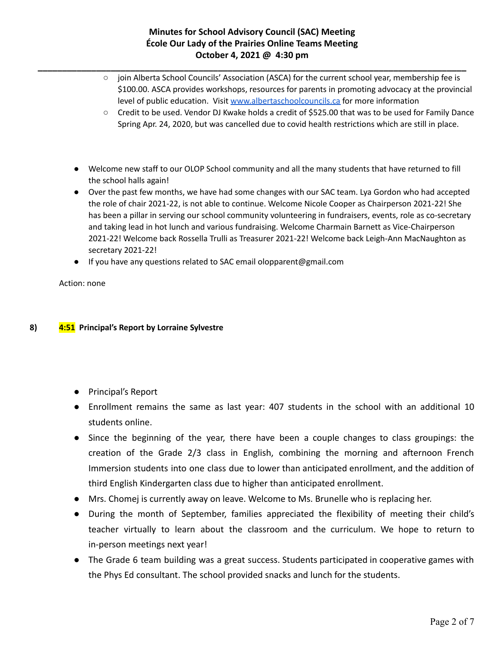# **Minutes for School Advisory Council (SAC) Meeting École Our Lady of the Prairies Online Teams Meeting October 4, 2021 @ 4:30 pm**

**\_\_\_\_\_\_\_\_\_\_\_\_\_\_\_\_\_\_\_\_\_\_\_\_\_\_\_\_\_\_\_\_\_\_\_\_\_\_\_\_\_\_\_\_\_\_\_\_\_\_\_\_\_\_\_\_\_\_\_\_\_\_\_\_\_\_\_\_\_\_\_\_\_\_\_\_\_\_\_\_\_\_\_\_\_\_\_\_**

- join Alberta School Councils' Association (ASCA) for the current school year, membership fee is \$100.00. ASCA provides workshops, resources for parents in promoting advocacy at the provincial level of public education. Visit [www.albertaschoolcouncils.ca](http://www.albertaschoolcouncils.ca) for more information
- Credit to be used. Vendor DJ Kwake holds a credit of \$525.00 that was to be used for Family Dance Spring Apr. 24, 2020, but was cancelled due to covid health restrictions which are still in place.
- Welcome new staff to our OLOP School community and all the many students that have returned to fill the school halls again!
- Over the past few months, we have had some changes with our SAC team. Lya Gordon who had accepted the role of chair 2021-22, is not able to continue. Welcome Nicole Cooper as Chairperson 2021-22! She has been a pillar in serving our school community volunteering in fundraisers, events, role as co-secretary and taking lead in hot lunch and various fundraising. Welcome Charmain Barnett as Vice-Chairperson 2021-22! Welcome back Rossella Trulli as Treasurer 2021-22! Welcome back Leigh-Ann MacNaughton as secretary 2021-22!
- If you have any questions related to SAC email olopparent@gmail.com

Action: none

# **8) 4:51 Principal's Report by Lorraine Sylvestre**

- Principal's Report
- Enrollment remains the same as last year: 407 students in the school with an additional 10 students online.
- Since the beginning of the year, there have been a couple changes to class groupings: the creation of the Grade 2/3 class in English, combining the morning and afternoon French Immersion students into one class due to lower than anticipated enrollment, and the addition of third English Kindergarten class due to higher than anticipated enrollment.
- Mrs. Chomej is currently away on leave. Welcome to Ms. Brunelle who is replacing her.
- During the month of September, families appreciated the flexibility of meeting their child's teacher virtually to learn about the classroom and the curriculum. We hope to return to in-person meetings next year!
- The Grade 6 team building was a great success. Students participated in cooperative games with the Phys Ed consultant. The school provided snacks and lunch for the students.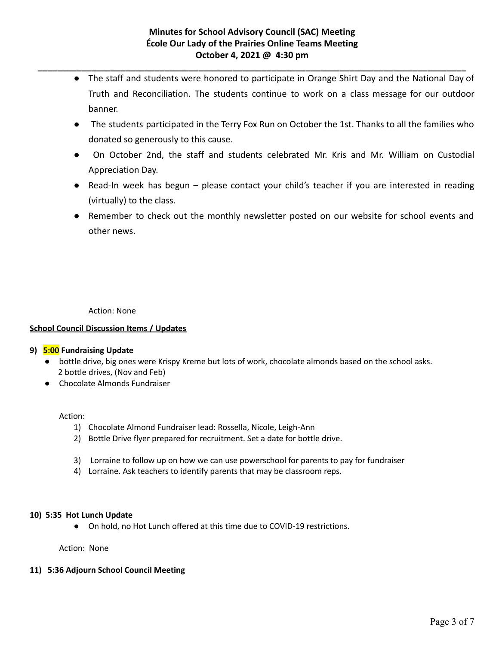- The staff and students were honored to participate in Orange Shirt Day and the National Day of Truth and Reconciliation. The students continue to work on a class message for our outdoor banner.
- The students participated in the Terry Fox Run on October the 1st. Thanks to all the families who donated so generously to this cause.
- On October 2nd, the staff and students celebrated Mr. Kris and Mr. William on Custodial Appreciation Day.
- Read-In week has begun please contact your child's teacher if you are interested in reading (virtually) to the class.
- Remember to check out the monthly newsletter posted on our website for school events and other news.

Action: None

# **School Council Discussion Items / Updates**

# **9) 5:00 Fundraising Update**

- bottle drive, big ones were Krispy Kreme but lots of work, chocolate almonds based on the school asks. 2 bottle drives, (Nov and Feb)
- Chocolate Almonds Fundraiser

#### Action:

- 1) Chocolate Almond Fundraiser lead: Rossella, Nicole, Leigh-Ann
- 2) Bottle Drive flyer prepared for recruitment. Set a date for bottle drive.
- 3) Lorraine to follow up on how we can use powerschool for parents to pay for fundraiser
- 4) Lorraine. Ask teachers to identify parents that may be classroom reps.

#### **10) 5:35 Hot Lunch Update**

● On hold, no Hot Lunch offered at this time due to COVID-19 restrictions.

Action: None

#### **11) 5:36 Adjourn School Council Meeting**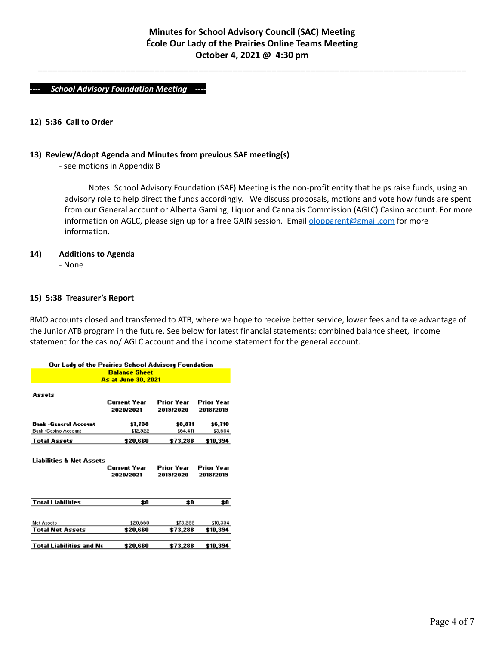#### *---- School Advisory Foundation Meeting ----*

#### **12) 5:36 Call to Order**

### **13) Review/Adopt Agenda and Minutes from previous SAF meeting(s)**

- see motions in Appendix B

Notes: School Advisory Foundation (SAF) Meeting is the non-profit entity that helps raise funds, using an advisory role to help direct the funds accordingly. We discuss proposals, motions and vote how funds are spent from our General account or Alberta Gaming, Liquor and Cannabis Commission (AGLC) Casino account. For more information on AGLC, please sign up for a free GAIN session. Email *[olopparent@gmail.com](mailto:olopparent@gmail.com)* for more information.

#### **14) Additions to Agenda**

- None

#### **15) 5:38 Treasurer's Report**

BMO accounts closed and transferred to ATB, where we hope to receive better service, lower fees and take advantage of the Junior ATB program in the future. See below for latest financial statements: combined balance sheet, income statement for the casino/ AGLC account and the income statement for the general account.

| Our Lady of the Prairies School Advisory Foundation |                           |                         |                         |
|-----------------------------------------------------|---------------------------|-------------------------|-------------------------|
|                                                     | <b>Balance Sheet</b>      |                         |                         |
|                                                     | As at June 30, 2021       |                         |                         |
| Assets                                              | Current Year<br>2020/2021 | Prior Year<br>2019/2020 | Prior Year<br>2018/2019 |
| <b>Bank-General Account</b>                         | 17.738                    | 18,871                  | \$6,710                 |
| <b>Bank-Casino Account</b>                          | \$12,922                  | 164,417                 | 13,684                  |
| <b>Total Assets</b>                                 | \$20,660                  | \$73,288                | \$10,394                |
| Liabilities & Net Assets                            | Current Year<br>2020/2021 | Prior Year<br>2019/2020 | Prior Year<br>2018/2019 |
| <b>Total Liabilities</b>                            | \$0                       | \$0                     | \$0                     |
| Net Assets<br><b>Total Net Assets</b>               | \$20,660<br>\$20,660      | 173,288<br>\$73,288     | \$10,394<br>\$10,394    |
| <b>Total Liabilities and Ne</b>                     | \$20,660                  | \$73,288                | \$10,394                |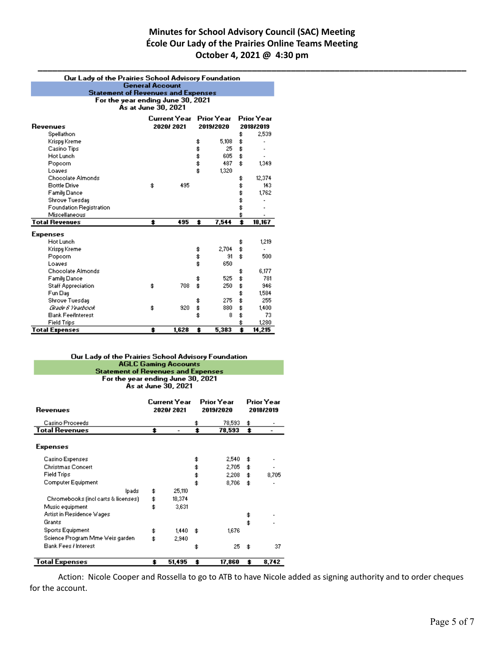# **Minutes for School Advisory Council (SAC) Meeting École Our Lady of the Prairies Online Teams Meeting October 4, 2021 @ 4:30 pm**

| Our Lady of the Prairies School Advisory Foundation |                                   |              |           |            |                  |                   |
|-----------------------------------------------------|-----------------------------------|--------------|-----------|------------|------------------|-------------------|
| <b>General Account</b>                              |                                   |              |           |            |                  |                   |
| <b>Statement of Revenues and Expenses</b>           |                                   |              |           |            |                  |                   |
|                                                     | For the year ending June 30, 2021 |              |           |            |                  |                   |
|                                                     | As at June 30, 2021               |              |           |            |                  |                   |
|                                                     |                                   | Current Year |           | Prior Year |                  | <b>Prior Year</b> |
| <b>Revenues</b>                                     |                                   | 2020/2021    |           | 2019/2020  |                  | 2018/2019         |
| Spellathon                                          |                                   |              |           |            | \$               | 2,539             |
| Krispy Kreme                                        |                                   |              | \$        | 5,108      | \$               |                   |
| Casino Tips                                         |                                   |              | \$        | 25         | \$               |                   |
| Hot Lunch                                           |                                   |              | \$        | 605        | \$               |                   |
| Popcorn                                             |                                   |              | \$        | 487        | \$               | 1,349             |
| Loaves                                              |                                   |              | \$        | 1,320      |                  |                   |
| Chocolate Almonds                                   |                                   |              |           |            | \$               | 12,374            |
| <b>Bottle Drive</b>                                 | \$.                               | 495          |           |            | \$               | 143               |
| Family Dance                                        |                                   |              |           |            | \$               | 1,762             |
| Shrove Tuesday                                      |                                   |              |           |            | \$               |                   |
| <b>Foundation Registration</b>                      |                                   |              |           |            | \$               |                   |
| Miscellaneous                                       |                                   |              |           |            |                  |                   |
| <b>Total Revenues</b>                               | \$                                | 495          | $\bullet$ | 7,544      | $\ddot{\bullet}$ | 18,167            |
|                                                     |                                   |              |           |            |                  |                   |
| <b>Expenses</b>                                     |                                   |              |           |            |                  |                   |
| Hot Lunch                                           |                                   |              |           |            | \$               | 1,219             |
| Krispy Kreme                                        |                                   |              | \$        | 2,704      | \$               | $\blacksquare$    |
| Popcorn                                             |                                   |              | \$        | 91         | \$               | 500               |
| Loaves                                              |                                   |              | \$        | 650        |                  |                   |
| <b>Chocolate Almonds</b>                            |                                   |              |           |            | \$               | 6,177             |
| <b>Family Dance</b>                                 |                                   |              | \$        | 525        | \$               | 781               |
| <b>Staff Appreciation</b>                           | \$.                               | 708          | \$        | 250        | \$               | 946               |
| Fun Day                                             |                                   |              |           |            | \$               | 1,584             |
| Shrove Tuesday                                      |                                   |              | \$        | 275        | \$               | 255               |
| Grade 6 Yearbook                                    | \$.                               | 920          | \$        | 880        | \$               | 1,400             |
| <b>Bank FeelInterest</b>                            |                                   |              | \$        | 8          | \$               | 73                |
| <b>Field Trips</b>                                  |                                   |              |           |            |                  | 1,280             |
| <b>Total Expenses</b>                               | \$                                | 1,628        | \$        | 5,383      | \$               | 14,215            |

# Our Lady of the Prairies School Advisory Foundation<br>AGLC Gaming Accounts **Statement of Revenues and Expenses**

For the year ending June 30, 2021<br>As at June 30, 2021

| Revenues                            | Current Year<br>2020/2021 |                          | Prior Year<br>2019/2020 | Prior Year<br>2018/2019 |       |
|-------------------------------------|---------------------------|--------------------------|-------------------------|-------------------------|-------|
| Casino Proceeds                     |                           |                          | \$<br>78,593            | \$                      |       |
| <b>Total Revenues</b>               | \$                        | $\overline{\phantom{a}}$ | \$<br>78,593            | \$                      |       |
| <b>Expenses</b>                     |                           |                          |                         |                         |       |
| Casino Expenses                     |                           |                          | \$<br>2,540             | \$                      |       |
| <b>Christmas Concert</b>            |                           |                          | \$<br>2,705             | \$                      |       |
| <b>Field Trips</b>                  |                           |                          | \$<br>2,208             | \$                      | 8,705 |
| Computer Equipment                  |                           |                          | \$<br>8,706             | \$                      |       |
| lpads.                              | \$                        | 25,110                   |                         |                         |       |
| Chromebooks (inclicarts & licenses) | \$                        | 18,374                   |                         |                         |       |
| Music equipment                     | \$                        | 3,631                    |                         |                         |       |
| Artist in Residence Wages           |                           |                          |                         | \$                      |       |
| Grants                              |                           |                          |                         | \$                      |       |
| <b>Sports Equipment</b>             | \$                        | 1.440                    | \$<br>1,676             |                         |       |
| Science Program Mme Weis garden.    | \$                        | 2.940                    |                         |                         |       |
| Bank Fees / Interest                |                           |                          | \$<br>25                | \$                      | 37    |
| Total Expenses                      | \$                        | 51,495                   | \$<br>17,860            | \$                      | 8,742 |

Action: Nicole Cooper and Rossella to go to ATB to have Nicole added as signing authority and to order cheques for the account.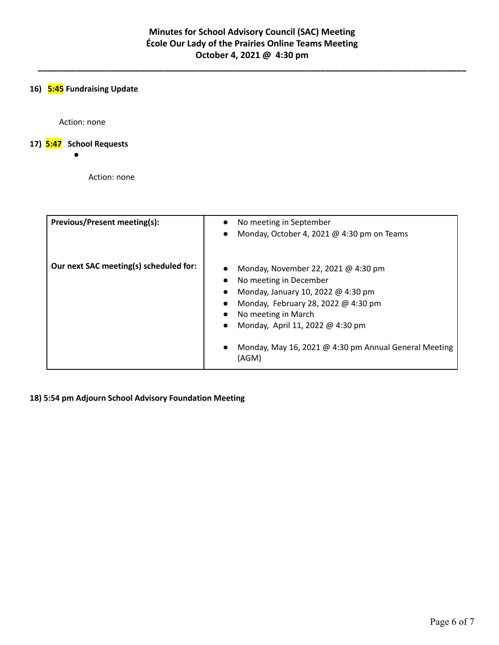# **16) 5:45 Fundraising Update**

Action: none

# **17) 5:47 School Requests**

●

Action: none

| <b>Previous/Present meeting(s):</b>    | No meeting in September<br>$\bullet$<br>Monday, October 4, 2021 @ 4:30 pm on Teams<br>$\bullet$                                                                                                                                                                                                                                          |
|----------------------------------------|------------------------------------------------------------------------------------------------------------------------------------------------------------------------------------------------------------------------------------------------------------------------------------------------------------------------------------------|
| Our next SAC meeting(s) scheduled for: | Monday, November 22, 2021 @ 4:30 pm<br>No meeting in December<br>$\bullet$<br>Monday, January 10, 2022 @ 4:30 pm<br>$\bullet$<br>Monday, February 28, 2022 @ 4:30 pm<br>No meeting in March<br>$\bullet$<br>Monday, April 11, 2022 @ 4:30 pm<br>$\bullet$<br>Monday, May 16, 2021 @ 4:30 pm Annual General Meeting<br>$\bullet$<br>(AGM) |

**18) 5:54 pm Adjourn School Advisory Foundation Meeting**